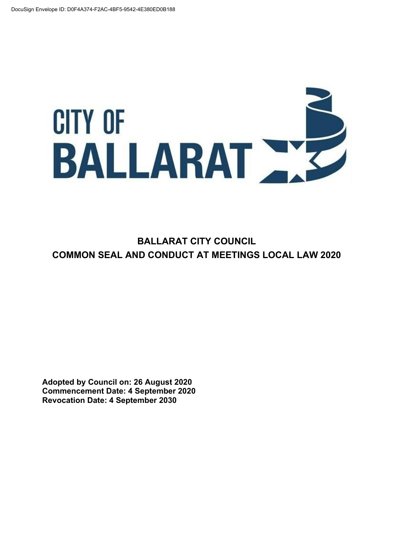# **CITY OF** BALLARAT NE

**BALLARAT CITY COUNCIL COMMON SEAL AND CONDUCT AT MEETINGS LOCAL LAW 2020**

**Adopted by Council on: 26 August 2020 Commencement Date: 4 September 2020 Revocation Date: 4 September 2030**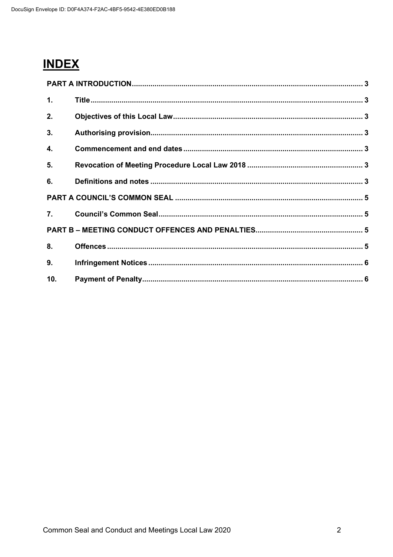## **INDEX**

| 1.             |  |  |
|----------------|--|--|
| 2.             |  |  |
| 3 <sub>1</sub> |  |  |
| 4.             |  |  |
| 5.             |  |  |
| 6.             |  |  |
|                |  |  |
|                |  |  |
|                |  |  |
| 8.             |  |  |
| 9 <sub>1</sub> |  |  |
| 10.            |  |  |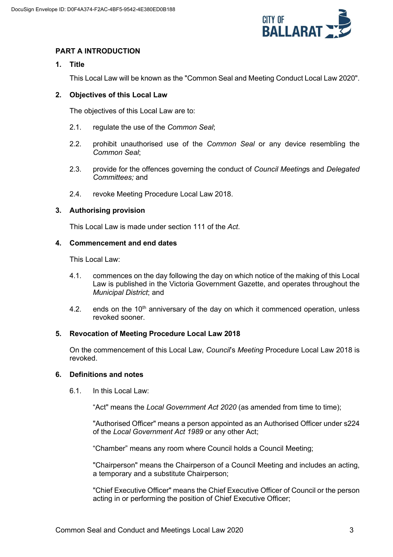

### **PART A INTRODUCTION**

#### **1. Title**

This Local Law will be known as the "Common Seal and Meeting Conduct Local Law 2020".

#### **2. Objectives of this Local Law**

The objectives of this Local Law are to:

- 2.1. regulate the use of the *Common Seal*;
- 2.2. prohibit unauthorised use of the *Common Seal* or any device resembling the *Common Seal*;
- 2.3. provide for the offences governing the conduct of *Council Meeting*s and *Delegated Committees;* and
- 2.4. revoke Meeting Procedure Local Law 2018.

#### **3. Authorising provision**

This Local Law is made under section 111 of the *Act*.

#### **4. Commencement and end dates**

This Local Law:

- 4.1. commences on the day following the day on which notice of the making of this Local Law is published in the Victoria Government Gazette, and operates throughout the *Municipal District*; and
- 4.2. ends on the  $10<sup>th</sup>$  anniversary of the day on which it commenced operation, unless revoked sooner.

#### **5. Revocation of Meeting Procedure Local Law 2018**

On the commencement of this Local Law, *Council*'s *Meeting* Procedure Local Law 2018 is revoked.

#### **6. Definitions and notes**

6.1. In this Local Law:

"Act" means the *Local Government Act 2020* (as amended from time to time);

"Authorised Officer" means a person appointed as an Authorised Officer under s224 of the *Local Government Act 1989* or any other Act;

"Chamber" means any room where Council holds a Council Meeting;

"Chairperson" means the Chairperson of a Council Meeting and includes an acting, a temporary and a substitute Chairperson;

"Chief Executive Officer" means the Chief Executive Officer of Council or the person acting in or performing the position of Chief Executive Officer;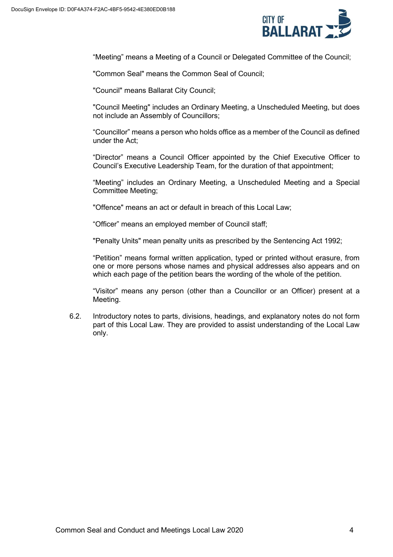

"Meeting" means a Meeting of a Council or Delegated Committee of the Council;

"Common Seal" means the Common Seal of Council;

"Council" means Ballarat City Council;

"Council Meeting" includes an Ordinary Meeting, a Unscheduled Meeting, but does not include an Assembly of Councillors;

"Councillor" means a person who holds office as a member of the Council as defined under the Act;

"Director" means a Council Officer appointed by the Chief Executive Officer to Council's Executive Leadership Team, for the duration of that appointment;

"Meeting" includes an Ordinary Meeting, a Unscheduled Meeting and a Special Committee Meeting;

"Offence" means an act or default in breach of this Local Law;

"Officer" means an employed member of Council staff;

"Penalty Units" mean penalty units as prescribed by the Sentencing Act 1992;

"Petition" means formal written application, typed or printed without erasure, from one or more persons whose names and physical addresses also appears and on which each page of the petition bears the wording of the whole of the petition.

"Visitor" means any person (other than a Councillor or an Officer) present at a Meeting.

6.2. Introductory notes to parts, divisions, headings, and explanatory notes do not form part of this Local Law. They are provided to assist understanding of the Local Law only.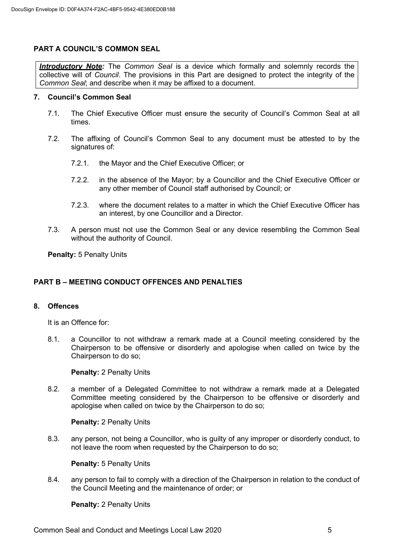#### **PART A COUNCIL'S COMMON SEAL**

*Introductory Note:* The *Common Seal* is a device which formally and solemnly records the collective will of *Council*. The provisions in this Part are designed to protect the integrity of the *Common Seal*; and describe when it may be affixed to a document.

#### **7. Council's Common Seal**

- 7.1. The Chief Executive Officer must ensure the security of Council's Common Seal at all times.
- 7.2. The affixing of Council's Common Seal to any document must be attested to by the signatures of:
	- 7.2.1. the Mayor and the Chief Executive Officer; or
	- 7.2.2. in the absence of the Mayor; by a Councillor and the Chief Executive Officer or any other member of Council staff authorised by Council; or
	- 7.2.3. where the document relates to a matter in which the Chief Executive Officer has an interest, by one Councillor and a Director.
- 7.3. A person must not use the Common Seal or any device resembling the Common Seal without the authority of Council.

**Penalty:** 5 Penalty Units

#### **PART B – MEETING CONDUCT OFFENCES AND PENALTIES**

#### **8. Offences**

It is an Offence for:

8.1. a Councillor to not withdraw a remark made at a Council meeting considered by the Chairperson to be offensive or disorderly and apologise when called on twice by the Chairperson to do so;

#### **Penalty:** 2 Penalty Units

8.2. a member of a Delegated Committee to not withdraw a remark made at a Delegated Committee meeting considered by the Chairperson to be offensive or disorderly and apologise when called on twice by the Chairperson to do so;

**Penalty:** 2 Penalty Units

8.3. any person, not being a Councillor, who is guilty of any improper or disorderly conduct, to not leave the room when requested by the Chairperson to do so;

#### **Penalty:** 5 Penalty Units

8.4. any person to fail to comply with a direction of the Chairperson in relation to the conduct of the Council Meeting and the maintenance of order; or

**Penalty:** 2 Penalty Units